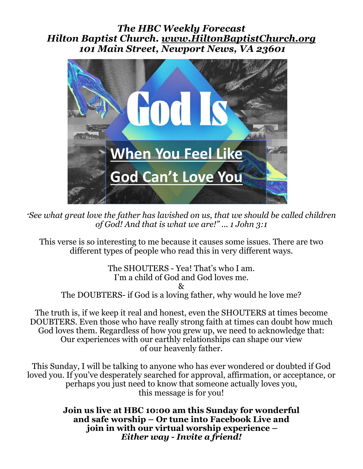#### *The HBC Weekly Forecast Hilton Baptist Church. www.HiltonBaptistChurch.org 101 Main Street, Newport News, VA 23601*



*"See what great love the father has lavished on us, that we should be called children of God! And that is what we are!" ... 1 John 3:1* 

**From Pastor Lynwood and the Hilton Bapst Church Family**  This verse is so interesting to me because it causes some issues. There are two different types of people who read this in very different ways.

The SHOUTERS - Yea! That's who I am. I'm a child of God and God loves me.  $\chi_{\tau}$ The DOUBTERS- if God is a loving father, why would he love me?

The truth is, if we keep it real and honest, even the SHOUTERS at times become DOUBTERS. Even those who have really strong faith at times can doubt how much God loves them. Regardless of how you grew up, we need to acknowledge that: Our experiences with our earthly relationships can shape our view of our heavenly father.

This Sunday, I will be talking to anyone who has ever wondered or doubted if God loved you. If you've desperately searched for approval, affirmation, or acceptance, or perhaps you just need to know that someone actually loves you, this message is for you!

> **Join us live at HBC 10:00 am this Sunday for wonderful and safe worship – Or tune into Facebook Live and join in with our virtual worship experience –**  *Either way - Invite a friend!*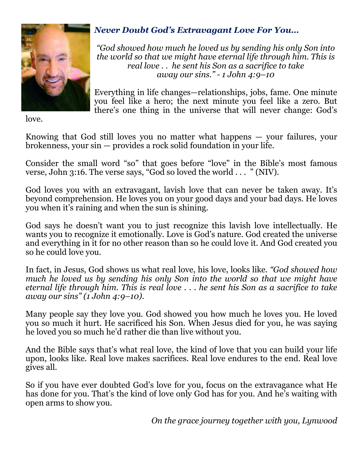

### *Never Doubt God's Extravagant Love For You…*

*"God showed how much he loved us by sending his only Son into the world so that we might have eternal life through him. This is real love . . he sent his Son as a sacrifice to take away our sins." - 1 John 4:9–10* 

Everything in life changes—relationships, jobs, fame. One minute you feel like a hero; the next minute you feel like a zero. But there's one thing in the universe that will never change: God's

love.

Knowing that God still loves you no matter what happens — your failures, your brokenness, your sin — provides a rock solid foundation in your life.

Consider the small word "so" that goes before "love" in the Bible's most famous verse, John 3:16. The verse says, "God so loved the world . . . " (NIV).

God loves you with an extravagant, lavish love that can never be taken away. It's beyond comprehension. He loves you on your good days and your bad days. He loves you when it's raining and when the sun is shining.

God says he doesn't want you to just recognize this lavish love intellectually. He wants you to recognize it emotionally. Love is God's nature. God created the universe and everything in it for no other reason than so he could love it. And God created you so he could love you.

In fact, in Jesus, God shows us what real love, his love, looks like*. "God showed how much he loved us by sending his only Son into the world so that we might have eternal life through him. This is real love . . . he sent his Son as a sacrifice to take away our sins" (1 John 4:9–10).*

Many people say they love you. God showed you how much he loves you. He loved you so much it hurt. He sacrificed his Son. When Jesus died for you, he was saying he loved you so much he'd rather die than live without you.

And the Bible says that's what real love, the kind of love that you can build your life upon, looks like. Real love makes sacrifices. Real love endures to the end. Real love gives all.

So if you have ever doubted God's love for you, focus on the extravagance what He has done for you. That's the kind of love only God has for you. And he's waiting with open arms to show you.

*On the grace journey together with you, Lynwood*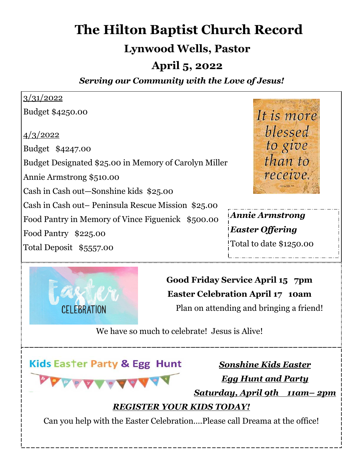# **The Hilton Baptist Church Record**

## **Lynwood Wells, Pastor**

## **April 5, 2022**

### *Serving our Community with the Love of Jesus!*

#### 3/31/2022 Budget \$4250.00 It is more blessed 4/3/2022 to give Budget \$4247.00 than to Budget Designated \$25.00 in Memory of Carolyn Miller receive. Annie Armstrong \$510.00 Cash in Cash out—Sonshine kids \$25.00 Cash in Cash out– Peninsula Rescue Mission \$25.00 *Annie Armstrong*  Food Pantry in Memory of Vince Figuenick \$500.00 *Easter Offering*  Food Pantry \$225.00 Total to date \$1250.00 Total Deposit \$5557.00



**Good Friday Service April 15 7pm Easter Celebration April 17 10am**  Plan on attending and bringing a friend!

We have so much to celebrate! Jesus is Alive!

**Kids Easter Party & Egg Hunt** 

*Sonshine Kids Easter Egg Hunt and Party Saturday, April 9th 11am– 2pm* 

### *REGISTER YOUR KIDS TODAY!*

Can you help with the Easter Celebration….Please call Dreama at the office!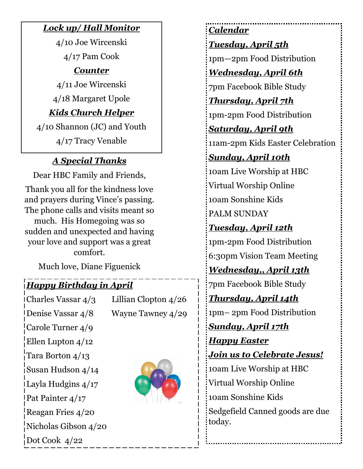### *Lock up/ Hall Monitor*

4/10 Joe Wircenski 4/17 Pam Cook *Counter*  4/11 Joe Wircenski

4/18 Margaret Upole

### *Kids Church Helper*

4/10 Shannon (JC) and Youth

4/17 Tracy Venable

### *A Special Thanks*

Dear HBC Family and Friends, Thank you all for the kindness love and prayers during Vince's passing. The phone calls and visits meant so much. His Homegoing was so sudden and unexpected and having your love and support was a great comfort.

Much love, Diane Figuenick

## *Happy Birthday in April*

| Charles Vassar 4/3          | Lillian Clopton $4/26$ |
|-----------------------------|------------------------|
| Denise Vassar 4/8           | Wayne Tawney 4/29      |
| Carole Turner $4/9$         |                        |
| Ellen Lupton $4/12$         |                        |
| Tara Borton $4/13$          |                        |
| Susan Hudson $4/14$         |                        |
| Layla Hudgins 4/17          |                        |
| <b>Pat Painter 4/17</b>     |                        |
| Reagan Fries 4/20           |                        |
| Nicholas Gibson $4/20$      |                        |
| $\frac{1}{2}$ Dot Cook 4/22 |                        |

## *Calendar*

### *Tuesday, April 5th*

1pm—2pm Food Distribution

### *Wednesday, April 6th*

7pm Facebook Bible Study

*Thursday, April 7th* 

1pm-2pm Food Distribution

*Saturday, April 9th* 

11am-2pm Kids Easter Celebration

## *Sunday, April 10th*

10am Live Worship at HBC Virtual Worship Online 10am Sonshine Kids PALM SUNDAY

## *Tuesday, April 12th*

1pm-2pm Food Distribution 6:30pm Vision Team Meeting

*Wednesday,, April 13th* 

7pm Facebook Bible Study

*Thursday, April 14th* 

1pm– 2pm Food Distribution

*Sunday, April 17th Happy Easter Join us to Celebrate Jesus!* 

10am Live Worship at HBC Virtual Worship Online 10am Sonshine Kids Sedgefield Canned goods are due today.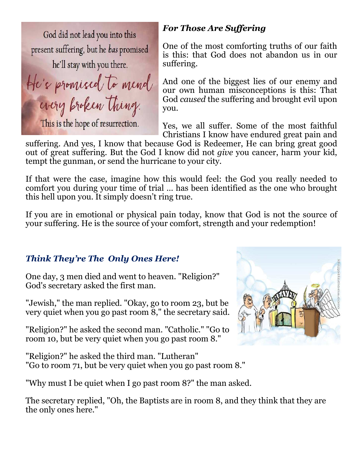God did not lead you into this present suffering, but he bas promised he'll stay with you there.

He's promised to mend

every broken thing.

This is the hope of resurrection.

#### *For Those Are Suffering*

One of the most comforting truths of our faith is this: that God does not abandon us in our suffering.

And one of the biggest lies of our enemy and our own human misconceptions is this: That God *caused* the suffering and brought evil upon you.

Yes, we all suffer. Some of the most faithful Christians I know have endured great pain and

suffering. And yes, I know that because God is Redeemer, He can bring great good out of great suffering. But the God I know did not *give* you cancer, harm your kid, tempt the gunman, or send the hurricane to your city.

If that were the case, imagine how this would feel: the God you really needed to comfort you during your time of trial … has been identified as the one who brought this hell upon you. It simply doesn't ring true.

If you are in emotional or physical pain today, know that God is not the source of your suffering. He is the source of your comfort, strength and your redemption!

#### *Think They're The Only Ones Here!*

One day, 3 men died and went to heaven. "Religion?" God's secretary asked the first man.

"Jewish," the man replied. "Okay, go to room 23, but be very quiet when you go past room 8," the secretary said.

"Religion?" he asked the second man. "Catholic." "Go to room 10, but be very quiet when you go past room 8."

"Religion?" he asked the third man. "Lutheran" "Go to room 71, but be very quiet when you go past room 8."

"Why must I be quiet when I go past room 8?" the man asked.

The secretary replied, "Oh, the Baptists are in room 8, and they think that they are the only ones here."

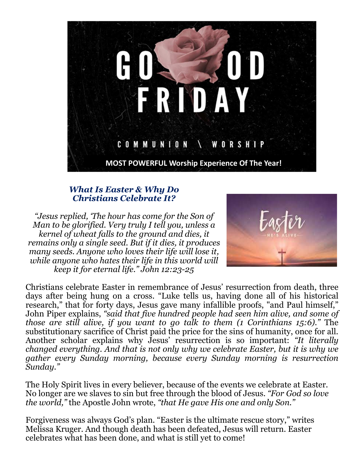

#### *What Is Easter & Why Do Christians Celebrate It?*

*"Jesus replied, 'The hour has come for the Son of Man to be glorified. Very truly I tell you, unless a kernel of wheat falls to the ground and dies, it remains only a single seed. But if it dies, it produces many seeds. Anyone who loves their life will lose it, while anyone who hates their life in this world will keep it for eternal life." John 12:23-25* 



Christians celebrate Easter in remembrance of Jesus' resurrection from death, three days after being hung on a cross. "Luke tells us, having done all of his historical research," that for forty days, Jesus gave many infallible proofs, "and Paul himself," John Piper explains, *"said that five hundred people had seen him alive, and some of those are still alive, if you want to go talk to them (1 Corinthians 15:6)."* The substitutionary sacrifice of Christ paid the price for the sins of humanity, once for all. Another scholar explains why Jesus' resurrection is so important: *"It literally changed everything. And that is not only why we celebrate Easter, but it is why we gather every Sunday morning, because every Sunday morning is resurrection Sunday."* 

The Holy Spirit lives in every believer, because of the events we celebrate at Easter. No longer are we slaves to sin but free through the blood of Jesus. *"For God so love the world,"* the Apostle John wrote, *"that He gave His one and only Son."*

Forgiveness was always God's plan. "Easter is the ultimate rescue story," writes Melissa Kruger. And though death has been defeated, Jesus will return. Easter celebrates what has been done, and what is still yet to come!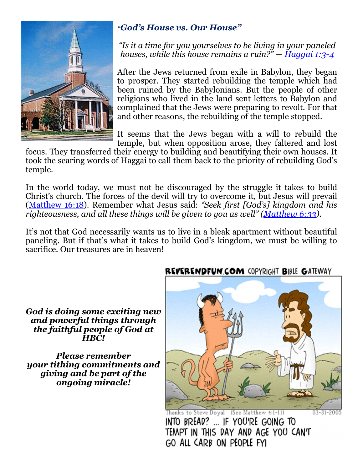

### *"God's House vs. Our House"*

*"Is it a time for you yourselves to be living in your paneled houses, while this house remains a ruin?" — Haggai 1:3-4*

After the Jews returned from exile in Babylon, they began to prosper. They started rebuilding the temple which had been ruined by the Babylonians. But the people of other religions who lived in the land sent letters to Babylon and complained that the Jews were preparing to revolt. For that and other reasons, the rebuilding of the temple stopped.

It seems that the Jews began with a will to rebuild the temple, but when opposition arose, they faltered and lost

focus. They transferred their energy to building and beautifying their own houses. It took the searing words of Haggai to call them back to the priority of rebuilding God's temple.

In the world today, we must not be discouraged by the struggle it takes to build Christ's church. The forces of the devil will try to overcome it, but Jesus will prevail (Matthew 16:18). Remember what Jesus said: *"Seek first [God's] kingdom and his righteousness, and all these things will be given to you as well" (Matthew 6:33).* 

It's not that God necessarily wants us to live in a bleak apartment without beautiful paneling. But if that's what it takes to build God's kingdom, we must be willing to sacrifice. Our treasures are in heaven!

*God is doing some exciting new and powerful things through the faithful people of God at HBC!*

*Please remember your tithing commitments and giving and be part of the ongoing miracle!* 

### **REVERENDFUN COM COPYRIGHT BIBLE GATEWAY**



Thanks to Steve Doyal (See Matthew 4:1-11) INTO BREAD? ... IF YOU'RE GOING TO TEMPT IN THIS DAY AND AGE YOU CAN'T GO ALL CARB ON PEOPLE FYI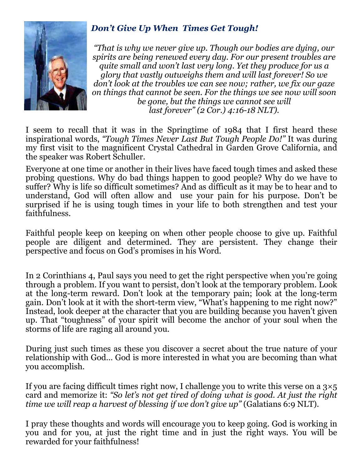

### *Don't Give Up When Times Get Tough!*

*"That is why we never give up. Though our bodies are dying, our spirits are being renewed every day. For our present troubles are quite small and won't last very long. Yet they produce for us a glory that vastly outweighs them and will last forever! So we don't look at the troubles we can see now; rather, we fix our gaze on things that cannot be seen. For the things we see now will soon be gone, but the things we cannot see will last forever" (2 Cor.) 4:16-18 NLT).* 

I seem to recall that it was in the Springtime of 1984 that I first heard these inspirational words, *"Tough Times Never Last But Tough People Do!"* It was during my first visit to the magnificent Crystal Cathedral in Garden Grove California, and the speaker was Robert Schuller.

Everyone at one time or another in their lives have faced tough times and asked these probing questions. Why do bad things happen to good people? Why do we have to suffer? Why is life so difficult sometimes? And as difficult as it may be to hear and to understand, God will often allow and use your pain for his purpose. Don't be surprised if he is using tough times in your life to both strengthen and test your faithfulness.

Faithful people keep on keeping on when other people choose to give up. Faithful people are diligent and determined. They are persistent. They change their perspective and focus on God's promises in his Word.

In 2 Corinthians 4, Paul says you need to get the right perspective when you're going through a problem. If you want to persist, don't look at the temporary problem. Look at the long-term reward. Don't look at the temporary pain; look at the long-term gain. Don't look at it with the short-term view, "What's happening to me right now?" Instead, look deeper at the character that you are building because you haven't given up. That "toughness" of your spirit will become the anchor of your soul when the storms of life are raging all around you.

During just such times as these you discover a secret about the true nature of your relationship with God… God is more interested in what you are becoming than what you accomplish.

If you are facing difficult times right now, I challenge you to write this verse on a  $3\times 5$ card and memorize it: *"So let's not get tired of doing what is good. At just the right time we will reap a harvest of blessing if we don't give up"* (Galatians 6:9 NLT).

I pray these thoughts and words will encourage you to keep going. God is working in you and for you, at just the right time and in just the right ways. You will be rewarded for your faithfulness!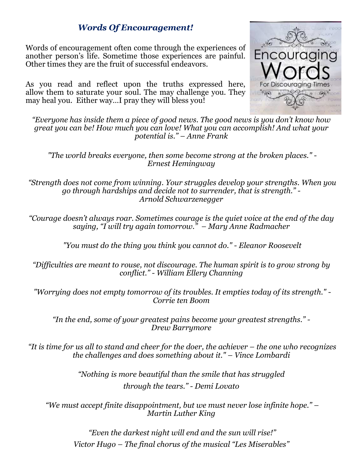#### *Words Of Encouragement!*

Words of encouragement often come through the experiences of another person's life. Sometime those experiences are painful. Other times they are the fruit of successful endeavors.

As you read and reflect upon the truths expressed here, allow them to saturate your soul. The may challenge you. They may heal you. Either way...I pray they will bless you!



*"Everyone has inside them a piece of good news. The good news is you don't know how great you can be! How much you can love! What you can accomplish! And what your potential is." – Anne Frank* 

 *"The world breaks everyone, then some become strong at the broken places." - Ernest Hemingway* 

 *"Strength does not come from winning. Your struggles develop your strengths. When you go through hardships and decide not to surrender, that is strength." - Arnold Schwarzenegger* 

*"Courage doesn't always roar. Sometimes courage is the quiet voice at the end of the day saying, "I will try again tomorrow." – Mary Anne Radmacher* 

 *"You must do the thing you think you cannot do." - Eleanor Roosevelt* 

*"Difficulties are meant to rouse, not discourage. The human spirit is to grow strong by conflict." - William Ellery Channing* 

 *"Worrying does not empty tomorrow of its troubles. It empties today of its strength." - Corrie ten Boom* 

*"In the end, some of your greatest pains become your greatest strengths." - Drew Barrymore* 

 *"It is time for us all to stand and cheer for the doer, the achiever – the one who recognizes the challenges and does something about it." – Vince Lombardi* 

> *"Nothing is more beautiful than the smile that has struggled through the tears." - Demi Lovato*

 *"We must accept finite disappointment, but we must never lose infinite hope." – Martin Luther King* 

 *"Even the darkest night will end and the sun will rise!" Victor Hugo – The final chorus of the musical "Les Miserables"*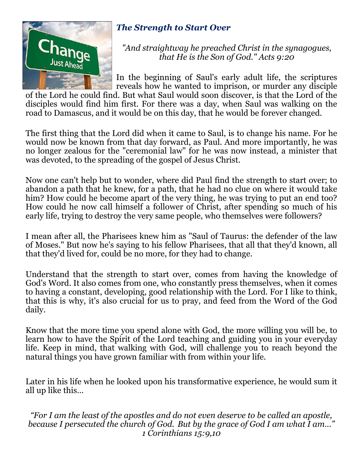

### *The Strength to Start Over*

*"And straightway he preached Christ in the synagogues, that He is the Son of God." Acts 9:20* 

In the beginning of Saul's early adult life, the scriptures reveals how he wanted to imprison, or murder any disciple

of the Lord he could find. But what Saul would soon discover, is that the Lord of the disciples would find him first. For there was a day, when Saul was walking on the road to Damascus, and it would be on this day, that he would be forever changed.

The first thing that the Lord did when it came to Saul, is to change his name. For he would now be known from that day forward, as Paul. And more importantly, he was no longer zealous for the "ceremonial law" for he was now instead, a minister that was devoted, to the spreading of the gospel of Jesus Christ.

Now one can't help but to wonder, where did Paul find the strength to start over; to abandon a path that he knew, for a path, that he had no clue on where it would take him? How could he become apart of the very thing, he was trying to put an end too? How could he now call himself a follower of Christ, after spending so much of his early life, trying to destroy the very same people, who themselves were followers?

I mean after all, the Pharisees knew him as "Saul of Taurus: the defender of the law of Moses." But now he's saying to his fellow Pharisees, that all that they'd known, all that they'd lived for, could be no more, for they had to change.

Understand that the strength to start over, comes from having the knowledge of God's Word. It also comes from one, who constantly press themselves, when it comes to having a constant, developing, good relationship with the Lord. For I like to think, that this is why, it's also crucial for us to pray, and feed from the Word of the God daily.

Know that the more time you spend alone with God, the more willing you will be, to learn how to have the Spirit of the Lord teaching and guiding you in your everyday life. Keep in mind, that walking with God, will challenge you to reach beyond the natural things you have grown familiar with from within your life.

Later in his life when he looked upon his transformative experience, he would sum it all up like this…

*"For I am the least of the apostles and do not even deserve to be called an apostle, because I persecuted the church of God. But by the grace of God I am what I am…" 1 Corinthians 15:9,10*